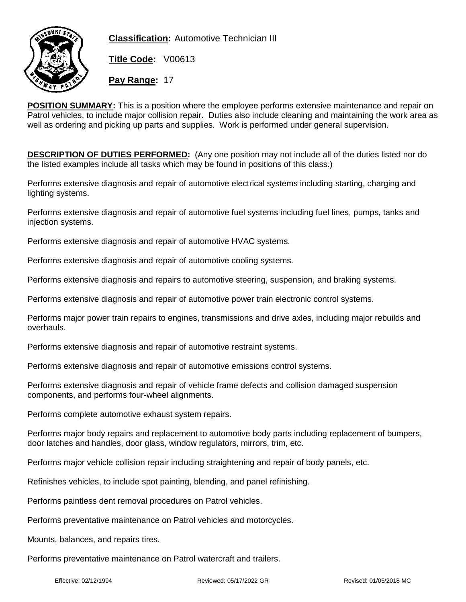

**Classification:** Automotive Technician III

**Title Code:** V00613

**Pay Range:** 17

**POSITION SUMMARY:** This is a position where the employee performs extensive maintenance and repair on Patrol vehicles, to include major collision repair. Duties also include cleaning and maintaining the work area as well as ordering and picking up parts and supplies. Work is performed under general supervision.

**DESCRIPTION OF DUTIES PERFORMED:** (Any one position may not include all of the duties listed nor do the listed examples include all tasks which may be found in positions of this class.)

Performs extensive diagnosis and repair of automotive electrical systems including starting, charging and lighting systems.

Performs extensive diagnosis and repair of automotive fuel systems including fuel lines, pumps, tanks and injection systems.

Performs extensive diagnosis and repair of automotive HVAC systems.

Performs extensive diagnosis and repair of automotive cooling systems.

Performs extensive diagnosis and repairs to automotive steering, suspension, and braking systems.

Performs extensive diagnosis and repair of automotive power train electronic control systems.

Performs major power train repairs to engines, transmissions and drive axles, including major rebuilds and overhauls.

Performs extensive diagnosis and repair of automotive restraint systems.

Performs extensive diagnosis and repair of automotive emissions control systems.

Performs extensive diagnosis and repair of vehicle frame defects and collision damaged suspension components, and performs four-wheel alignments.

Performs complete automotive exhaust system repairs.

Performs major body repairs and replacement to automotive body parts including replacement of bumpers, door latches and handles, door glass, window regulators, mirrors, trim, etc.

Performs major vehicle collision repair including straightening and repair of body panels, etc.

Refinishes vehicles, to include spot painting, blending, and panel refinishing.

Performs paintless dent removal procedures on Patrol vehicles.

Performs preventative maintenance on Patrol vehicles and motorcycles.

Mounts, balances, and repairs tires.

Performs preventative maintenance on Patrol watercraft and trailers.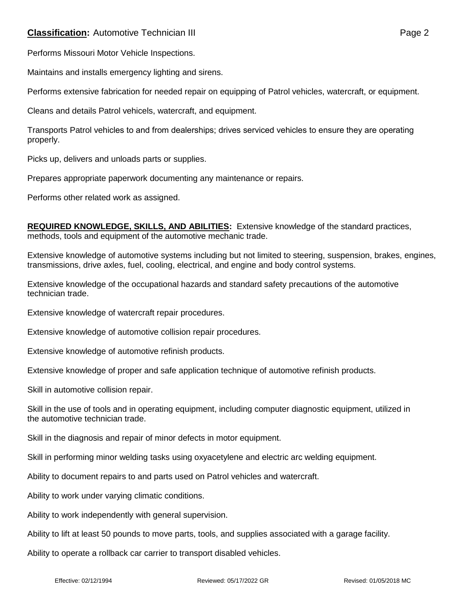## **Classification:** Automotive Technician III **Classification:** Page 2

Performs Missouri Motor Vehicle Inspections.

Maintains and installs emergency lighting and sirens.

Performs extensive fabrication for needed repair on equipping of Patrol vehicles, watercraft, or equipment.

Cleans and details Patrol vehicels, watercraft, and equipment.

Transports Patrol vehicles to and from dealerships; drives serviced vehicles to ensure they are operating properly.

Picks up, delivers and unloads parts or supplies.

Prepares appropriate paperwork documenting any maintenance or repairs.

Performs other related work as assigned.

**REQUIRED KNOWLEDGE, SKILLS, AND ABILITIES:** Extensive knowledge of the standard practices, methods, tools and equipment of the automotive mechanic trade.

Extensive knowledge of automotive systems including but not limited to steering, suspension, brakes, engines, transmissions, drive axles, fuel, cooling, electrical, and engine and body control systems.

Extensive knowledge of the occupational hazards and standard safety precautions of the automotive technician trade.

Extensive knowledge of watercraft repair procedures.

Extensive knowledge of automotive collision repair procedures.

Extensive knowledge of automotive refinish products.

Extensive knowledge of proper and safe application technique of automotive refinish products.

Skill in automotive collision repair.

Skill in the use of tools and in operating equipment, including computer diagnostic equipment, utilized in the automotive technician trade.

Skill in the diagnosis and repair of minor defects in motor equipment.

Skill in performing minor welding tasks using oxyacetylene and electric arc welding equipment.

Ability to document repairs to and parts used on Patrol vehicles and watercraft.

Ability to work under varying climatic conditions.

Ability to work independently with general supervision.

Ability to lift at least 50 pounds to move parts, tools, and supplies associated with a garage facility.

Ability to operate a rollback car carrier to transport disabled vehicles.